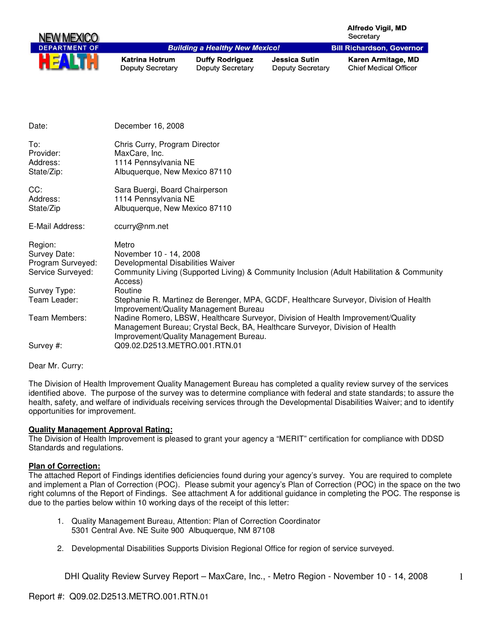| <b>NEW MEXICO</b>    |                                                  |                                                   |                                                 | <b>Alfredo Vigil, MD</b><br>Secretary              |
|----------------------|--------------------------------------------------|---------------------------------------------------|-------------------------------------------------|----------------------------------------------------|
| <b>DEPARTMENT OF</b> |                                                  | <b>Building a Healthy New Mexico!</b>             |                                                 | <b>Bill Richardson, Governor</b>                   |
|                      | <b>Katrina Hotrum</b><br><b>Deputy Secretary</b> | <b>Duffy Rodriguez</b><br><b>Deputy Secretary</b> | <b>Jessica Sutin</b><br><b>Deputy Secretary</b> | Karen Armitage, MD<br><b>Chief Medical Officer</b> |
| Date:                | December 16, 2008                                |                                                   |                                                 |                                                    |

| To:<br>Provider:<br>Address:<br>State/Zip: | Chris Curry, Program Director<br>MaxCare, Inc.<br>1114 Pennsylvania NE<br>Albuquerque, New Mexico 87110                                                                                                    |
|--------------------------------------------|------------------------------------------------------------------------------------------------------------------------------------------------------------------------------------------------------------|
| CC:<br>Address:<br>State/Zip               | Sara Buergi, Board Chairperson<br>1114 Pennsylvania NE<br>Albuquerque, New Mexico 87110                                                                                                                    |
| E-Mail Address:                            | ccurry@nm.net                                                                                                                                                                                              |
| Region:                                    | Metro                                                                                                                                                                                                      |
| Survey Date:                               | November 10 - 14, 2008                                                                                                                                                                                     |
| Program Surveyed:                          | Developmental Disabilities Waiver                                                                                                                                                                          |
| Service Surveyed:                          | Community Living (Supported Living) & Community Inclusion (Adult Habilitation & Community<br>Access)                                                                                                       |
| Survey Type:                               | Routine                                                                                                                                                                                                    |
| Team Leader:                               | Stephanie R. Martinez de Berenger, MPA, GCDF, Healthcare Surveyor, Division of Health<br>Improvement/Quality Management Bureau                                                                             |
| Team Members:                              | Nadine Romero, LBSW, Healthcare Surveyor, Division of Health Improvement/Quality<br>Management Bureau; Crystal Beck, BA, Healthcare Surveyor, Division of Health<br>Improvement/Quality Management Bureau. |
| Survey #:                                  | Q09.02.D2513.METRO.001.RTN.01                                                                                                                                                                              |

Dear Mr. Curry:

The Division of Health Improvement Quality Management Bureau has completed a quality review survey of the services identified above. The purpose of the survey was to determine compliance with federal and state standards; to assure the health, safety, and welfare of individuals receiving services through the Developmental Disabilities Waiver; and to identify opportunities for improvement.

## **Quality Management Approval Rating:**

The Division of Health Improvement is pleased to grant your agency a "MERIT" certification for compliance with DDSD Standards and regulations.

## **Plan of Correction:**

The attached Report of Findings identifies deficiencies found during your agency's survey. You are required to complete and implement a Plan of Correction (POC). Please submit your agency's Plan of Correction (POC) in the space on the two right columns of the Report of Findings. See attachment A for additional guidance in completing the POC. The response is due to the parties below within 10 working days of the receipt of this letter:

- 1. Quality Management Bureau, Attention: Plan of Correction Coordinator 5301 Central Ave. NE Suite 900 Albuquerque, NM 87108
- 2. Developmental Disabilities Supports Division Regional Office for region of service surveyed.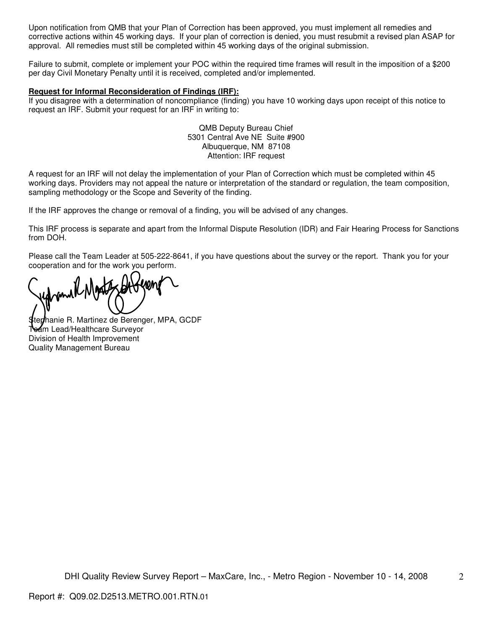Upon notification from QMB that your Plan of Correction has been approved, you must implement all remedies and corrective actions within 45 working days. If your plan of correction is denied, you must resubmit a revised plan ASAP for approval. All remedies must still be completed within 45 working days of the original submission.

Failure to submit, complete or implement your POC within the required time frames will result in the imposition of a \$200 per day Civil Monetary Penalty until it is received, completed and/or implemented.

#### **Request for Informal Reconsideration of Findings (IRF):**

If you disagree with a determination of noncompliance (finding) you have 10 working days upon receipt of this notice to request an IRF. Submit your request for an IRF in writing to:

> QMB Deputy Bureau Chief 5301 Central Ave NE Suite #900 Albuquerque, NM 87108 Attention: IRF request

A request for an IRF will not delay the implementation of your Plan of Correction which must be completed within 45 working days. Providers may not appeal the nature or interpretation of the standard or regulation, the team composition, sampling methodology or the Scope and Severity of the finding.

If the IRF approves the change or removal of a finding, you will be advised of any changes.

This IRF process is separate and apart from the Informal Dispute Resolution (IDR) and Fair Hearing Process for Sanctions from DOH.

Please call the Team Leader at 505-222-8641, if you have questions about the survey or the report. Thank you for your cooperation and for the work you perform.

tedhanie R. Martinez de Berenger, MPA, GCDF Team Lead/Healthcare Surveyor Division of Health Improvement Quality Management Bureau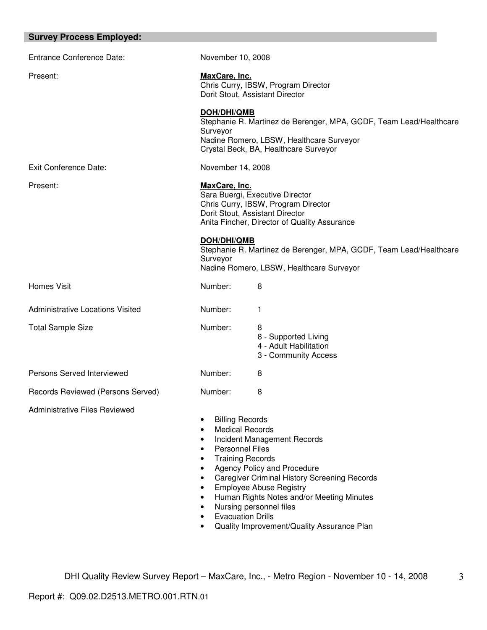| <b>Survey Process Employed:</b>         |                                                                                                                                                                |                                                                                                                                                                                                                                                                                                                                |  |  |  |
|-----------------------------------------|----------------------------------------------------------------------------------------------------------------------------------------------------------------|--------------------------------------------------------------------------------------------------------------------------------------------------------------------------------------------------------------------------------------------------------------------------------------------------------------------------------|--|--|--|
| <b>Entrance Conference Date:</b>        | November 10, 2008                                                                                                                                              |                                                                                                                                                                                                                                                                                                                                |  |  |  |
| Present:                                |                                                                                                                                                                | MaxCare, Inc.<br>Chris Curry, IBSW, Program Director<br>Dorit Stout, Assistant Director                                                                                                                                                                                                                                        |  |  |  |
|                                         | Surveyor                                                                                                                                                       | <b>DOH/DHI/QMB</b><br>Stephanie R. Martinez de Berenger, MPA, GCDF, Team Lead/Healthcare<br>Nadine Romero, LBSW, Healthcare Surveyor<br>Crystal Beck, BA, Healthcare Surveyor                                                                                                                                                  |  |  |  |
| <b>Exit Conference Date:</b>            | November 14, 2008                                                                                                                                              |                                                                                                                                                                                                                                                                                                                                |  |  |  |
| Present:                                |                                                                                                                                                                | MaxCare, Inc.<br>Sara Buergi, Executive Director<br>Chris Curry, IBSW, Program Director<br>Dorit Stout, Assistant Director<br>Anita Fincher, Director of Quality Assurance                                                                                                                                                     |  |  |  |
|                                         | <b>DOH/DHI/QMB</b><br>Surveyor                                                                                                                                 | Stephanie R. Martinez de Berenger, MPA, GCDF, Team Lead/Healthcare<br>Nadine Romero, LBSW, Healthcare Surveyor                                                                                                                                                                                                                 |  |  |  |
| <b>Homes Visit</b>                      | Number:                                                                                                                                                        | 8                                                                                                                                                                                                                                                                                                                              |  |  |  |
| <b>Administrative Locations Visited</b> | Number:                                                                                                                                                        | 1                                                                                                                                                                                                                                                                                                                              |  |  |  |
| <b>Total Sample Size</b>                | Number:                                                                                                                                                        | 8<br>8 - Supported Living<br>4 - Adult Habilitation<br>3 - Community Access                                                                                                                                                                                                                                                    |  |  |  |
| Persons Served Interviewed              | Number:                                                                                                                                                        | 8                                                                                                                                                                                                                                                                                                                              |  |  |  |
| Records Reviewed (Persons Served)       | Number:                                                                                                                                                        | 8                                                                                                                                                                                                                                                                                                                              |  |  |  |
| <b>Administrative Files Reviewed</b>    | <b>Billing Records</b><br>٠<br>$\bullet$<br>$\bullet$<br><b>Personnel Files</b><br>$\bullet$<br>٠<br>٠<br>$\bullet$<br>٠<br>٠<br>٠<br><b>Evacuation Drills</b> | <b>Medical Records</b><br>Incident Management Records<br><b>Training Records</b><br>Agency Policy and Procedure<br><b>Caregiver Criminal History Screening Records</b><br><b>Employee Abuse Registry</b><br>Human Rights Notes and/or Meeting Minutes<br>Nursing personnel files<br>Quality Improvement/Quality Assurance Plan |  |  |  |

ı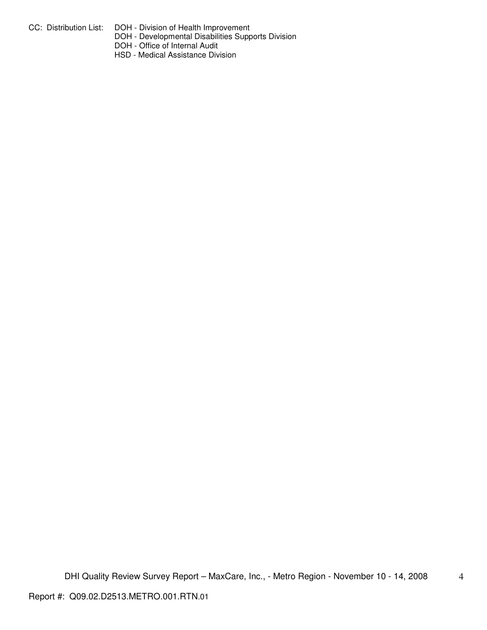- CC: Distribution List: DOH Division of Health Improvement
	- DOH Developmental Disabilities Supports Division
	- DOH Office of Internal Audit
	- HSD Medical Assistance Division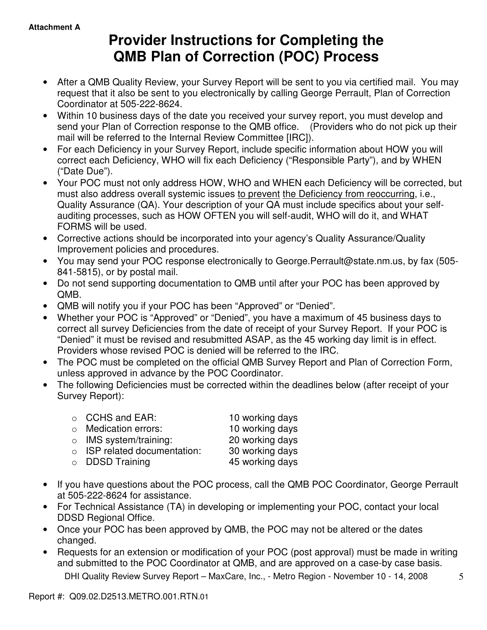# **Provider Instructions for Completing the QMB Plan of Correction (POC) Process**

- After a QMB Quality Review, your Survey Report will be sent to you via certified mail. You may request that it also be sent to you electronically by calling George Perrault, Plan of Correction Coordinator at 505-222-8624.
- Within 10 business days of the date you received your survey report, you must develop and send your Plan of Correction response to the QMB office. (Providers who do not pick up their mail will be referred to the Internal Review Committee [IRC]).
- For each Deficiency in your Survey Report, include specific information about HOW you will correct each Deficiency, WHO will fix each Deficiency ("Responsible Party"), and by WHEN ("Date Due").
- Your POC must not only address HOW, WHO and WHEN each Deficiency will be corrected, but must also address overall systemic issues to prevent the Deficiency from reoccurring, i.e., Quality Assurance (QA). Your description of your QA must include specifics about your selfauditing processes, such as HOW OFTEN you will self-audit, WHO will do it, and WHAT FORMS will be used.
- Corrective actions should be incorporated into your agency's Quality Assurance/Quality Improvement policies and procedures.
- You may send your POC response electronically to George.Perrault@state.nm.us, by fax (505- 841-5815), or by postal mail.
- Do not send supporting documentation to QMB until after your POC has been approved by QMB.
- QMB will notify you if your POC has been "Approved" or "Denied".
- Whether your POC is "Approved" or "Denied", you have a maximum of 45 business days to correct all survey Deficiencies from the date of receipt of your Survey Report. If your POC is "Denied" it must be revised and resubmitted ASAP, as the 45 working day limit is in effect. Providers whose revised POC is denied will be referred to the IRC.
- The POC must be completed on the official QMB Survey Report and Plan of Correction Form, unless approved in advance by the POC Coordinator.
- The following Deficiencies must be corrected within the deadlines below (after receipt of your Survey Report):

| $\circ$ CCHS and EAR:              | 10 working days |
|------------------------------------|-----------------|
| $\circ$ Medication errors:         | 10 working days |
| $\circ$ IMS system/training:       | 20 working days |
| $\circ$ ISP related documentation: | 30 working days |
| $\circ$ DDSD Training              | 45 working days |
|                                    |                 |

- If you have questions about the POC process, call the QMB POC Coordinator, George Perrault at 505-222-8624 for assistance.
- For Technical Assistance (TA) in developing or implementing your POC, contact your local DDSD Regional Office.
- Once your POC has been approved by QMB, the POC may not be altered or the dates changed.
- Requests for an extension or modification of your POC (post approval) must be made in writing and submitted to the POC Coordinator at QMB, and are approved on a case-by case basis.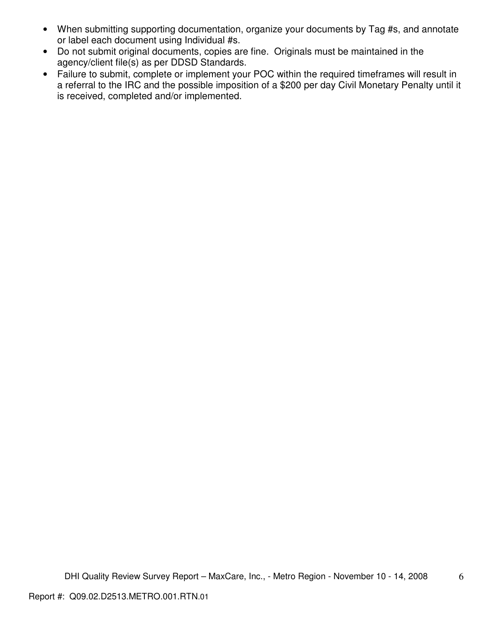- When submitting supporting documentation, organize your documents by Tag #s, and annotate or label each document using Individual #s.
- Do not submit original documents, copies are fine. Originals must be maintained in the agency/client file(s) as per DDSD Standards.
- Failure to submit, complete or implement your POC within the required timeframes will result in a referral to the IRC and the possible imposition of a \$200 per day Civil Monetary Penalty until it is received, completed and/or implemented.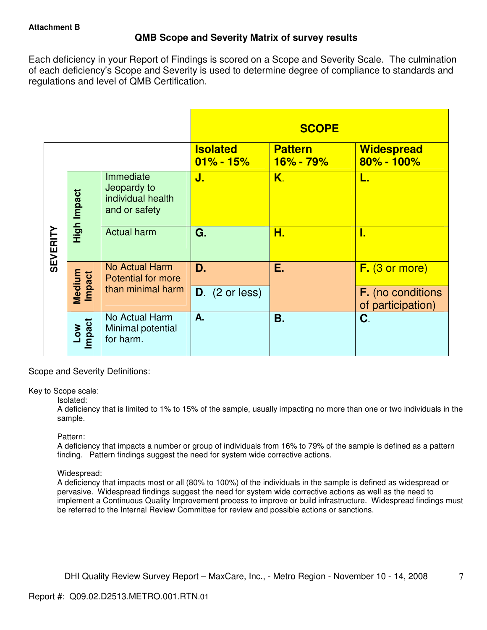# **QMB Scope and Severity Matrix of survey results**

Each deficiency in your Report of Findings is scored on a Scope and Severity Scale. The culmination of each deficiency's Scope and Severity is used to determine degree of compliance to standards and regulations and level of QMB Certification.

|                 |                  |                                                                |                                  | <b>SCOPE</b>                |                                               |
|-----------------|------------------|----------------------------------------------------------------|----------------------------------|-----------------------------|-----------------------------------------------|
|                 |                  |                                                                | <b>Isolated</b><br>$01\% - 15\%$ | <b>Pattern</b><br>16% - 79% | <b>Widespread</b><br>80% - 100%               |
| <b>SEVERITY</b> | High Impact      | Immediate<br>Jeopardy to<br>individual health<br>and or safety | J.                               | K.                          | L.                                            |
|                 |                  | <b>Actual harm</b>                                             | G.                               | Н.                          | I.                                            |
|                 |                  | No Actual Harm<br><b>Potential for more</b>                    | D.                               | Ε.                          | $F.$ (3 or more)                              |
|                 | Medium<br>Impact | than minimal harm                                              | $D.$ (2 or less)                 |                             | <b>F.</b> (no conditions<br>of participation) |
|                 | Low<br>Impact    | No Actual Harm<br>Minimal potential<br>for harm.               | A.                               | Β.                          | C.                                            |

Scope and Severity Definitions:

## Key to Scope scale:

## Isolated:

A deficiency that is limited to 1% to 15% of the sample, usually impacting no more than one or two individuals in the sample.

## Pattern:

A deficiency that impacts a number or group of individuals from 16% to 79% of the sample is defined as a pattern finding. Pattern findings suggest the need for system wide corrective actions.

# Widespread:

A deficiency that impacts most or all (80% to 100%) of the individuals in the sample is defined as widespread or pervasive. Widespread findings suggest the need for system wide corrective actions as well as the need to implement a Continuous Quality Improvement process to improve or build infrastructure. Widespread findings must be referred to the Internal Review Committee for review and possible actions or sanctions.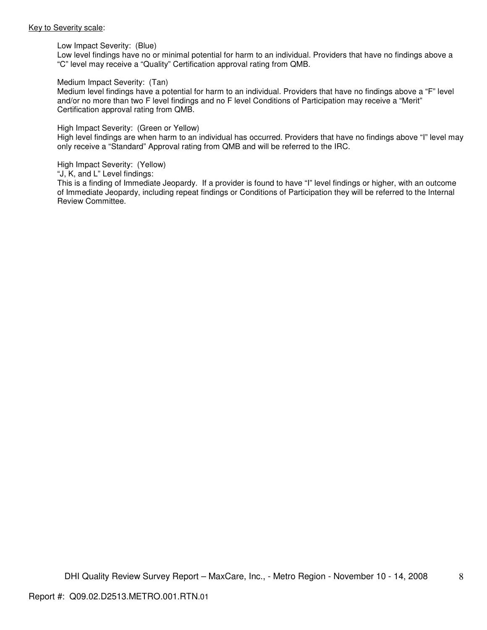#### Key to Severity scale:

Low Impact Severity: (Blue)

Low level findings have no or minimal potential for harm to an individual. Providers that have no findings above a "C" level may receive a "Quality" Certification approval rating from QMB.

#### Medium Impact Severity: (Tan)

Medium level findings have a potential for harm to an individual. Providers that have no findings above a "F" level and/or no more than two F level findings and no F level Conditions of Participation may receive a "Merit" Certification approval rating from QMB.

#### High Impact Severity: (Green or Yellow)

High level findings are when harm to an individual has occurred. Providers that have no findings above "I" level may only receive a "Standard" Approval rating from QMB and will be referred to the IRC.

High Impact Severity: (Yellow)

"J, K, and L" Level findings:

This is a finding of Immediate Jeopardy. If a provider is found to have "I" level findings or higher, with an outcome of Immediate Jeopardy, including repeat findings or Conditions of Participation they will be referred to the Internal Review Committee.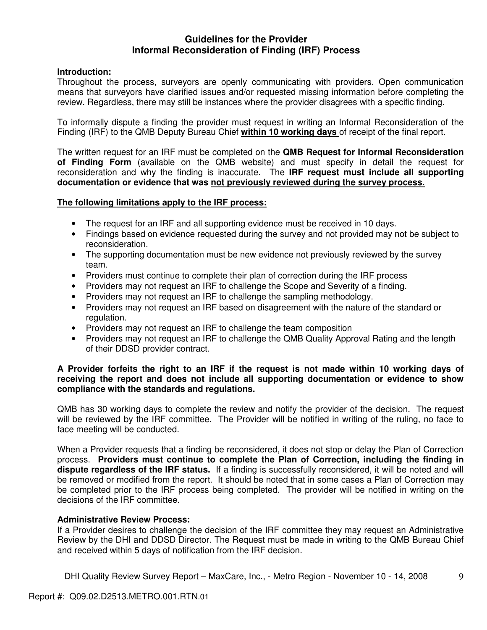# **Guidelines for the Provider Informal Reconsideration of Finding (IRF) Process**

# **Introduction:**

Throughout the process, surveyors are openly communicating with providers. Open communication means that surveyors have clarified issues and/or requested missing information before completing the review. Regardless, there may still be instances where the provider disagrees with a specific finding.

To informally dispute a finding the provider must request in writing an Informal Reconsideration of the Finding (IRF) to the QMB Deputy Bureau Chief **within 10 working days** of receipt of the final report.

The written request for an IRF must be completed on the **QMB Request for Informal Reconsideration of Finding Form** (available on the QMB website) and must specify in detail the request for reconsideration and why the finding is inaccurate. The **IRF request must include all supporting documentation or evidence that was not previously reviewed during the survey process.** 

# **The following limitations apply to the IRF process:**

- The request for an IRF and all supporting evidence must be received in 10 days.
- Findings based on evidence requested during the survey and not provided may not be subject to reconsideration.
- The supporting documentation must be new evidence not previously reviewed by the survey team.
- Providers must continue to complete their plan of correction during the IRF process
- Providers may not request an IRF to challenge the Scope and Severity of a finding.
- Providers may not request an IRF to challenge the sampling methodology.
- Providers may not request an IRF based on disagreement with the nature of the standard or regulation.
- Providers may not request an IRF to challenge the team composition
- Providers may not request an IRF to challenge the QMB Quality Approval Rating and the length of their DDSD provider contract.

# **A Provider forfeits the right to an IRF if the request is not made within 10 working days of receiving the report and does not include all supporting documentation or evidence to show compliance with the standards and regulations.**

QMB has 30 working days to complete the review and notify the provider of the decision. The request will be reviewed by the IRF committee. The Provider will be notified in writing of the ruling, no face to face meeting will be conducted.

When a Provider requests that a finding be reconsidered, it does not stop or delay the Plan of Correction process. **Providers must continue to complete the Plan of Correction, including the finding in dispute regardless of the IRF status.** If a finding is successfully reconsidered, it will be noted and will be removed or modified from the report. It should be noted that in some cases a Plan of Correction may be completed prior to the IRF process being completed. The provider will be notified in writing on the decisions of the IRF committee.

## **Administrative Review Process:**

If a Provider desires to challenge the decision of the IRF committee they may request an Administrative Review by the DHI and DDSD Director. The Request must be made in writing to the QMB Bureau Chief and received within 5 days of notification from the IRF decision.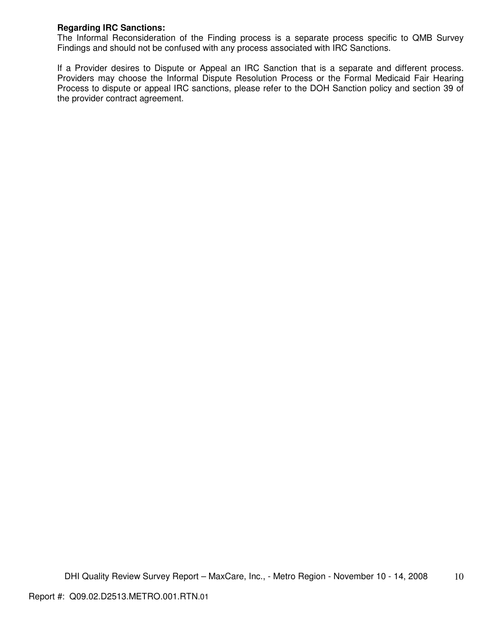# **Regarding IRC Sanctions:**

The Informal Reconsideration of the Finding process is a separate process specific to QMB Survey Findings and should not be confused with any process associated with IRC Sanctions.

If a Provider desires to Dispute or Appeal an IRC Sanction that is a separate and different process. Providers may choose the Informal Dispute Resolution Process or the Formal Medicaid Fair Hearing Process to dispute or appeal IRC sanctions, please refer to the DOH Sanction policy and section 39 of the provider contract agreement.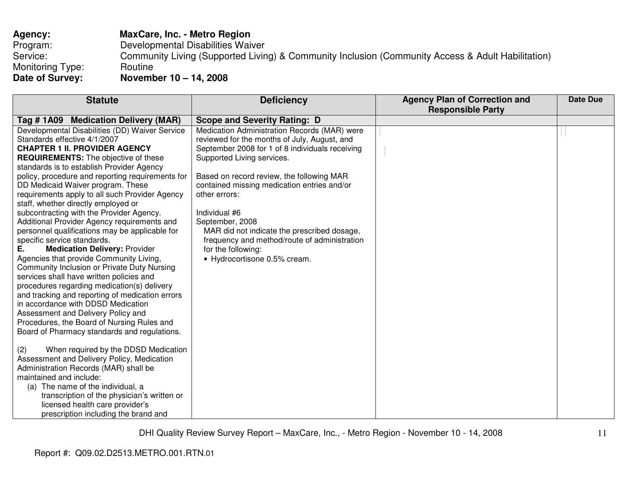| Agency:          | <b>MaxCare, Inc. - Metro Region</b>                                                               |
|------------------|---------------------------------------------------------------------------------------------------|
| Program:         | Developmental Disabilities Waiver                                                                 |
| Service:         | Community Living (Supported Living) & Community Inclusion (Community Access & Adult Habilitation) |
| Monitoring Type: | Routine                                                                                           |
| Date of Survey:  | November $10 - 14$ , 2008                                                                         |

| <b>Statute</b>                                                                                                                                                                                                                                                                                                                                                                                                                                                                                                                                                                                                                                                                                                                                                                                                                                                                                                                                                                                                                                   | <b>Deficiency</b>                                                                                                                                                                                                                                                                                                                                                                                                                                                                   | <b>Agency Plan of Correction and</b> | <b>Date Due</b> |
|--------------------------------------------------------------------------------------------------------------------------------------------------------------------------------------------------------------------------------------------------------------------------------------------------------------------------------------------------------------------------------------------------------------------------------------------------------------------------------------------------------------------------------------------------------------------------------------------------------------------------------------------------------------------------------------------------------------------------------------------------------------------------------------------------------------------------------------------------------------------------------------------------------------------------------------------------------------------------------------------------------------------------------------------------|-------------------------------------------------------------------------------------------------------------------------------------------------------------------------------------------------------------------------------------------------------------------------------------------------------------------------------------------------------------------------------------------------------------------------------------------------------------------------------------|--------------------------------------|-----------------|
|                                                                                                                                                                                                                                                                                                                                                                                                                                                                                                                                                                                                                                                                                                                                                                                                                                                                                                                                                                                                                                                  |                                                                                                                                                                                                                                                                                                                                                                                                                                                                                     |                                      |                 |
| Tag # 1A09 Medication Delivery (MAR)                                                                                                                                                                                                                                                                                                                                                                                                                                                                                                                                                                                                                                                                                                                                                                                                                                                                                                                                                                                                             | <b>Scope and Severity Rating: D</b>                                                                                                                                                                                                                                                                                                                                                                                                                                                 |                                      |                 |
| Developmental Disabilities (DD) Waiver Service<br>Standards effective 4/1/2007<br><b>CHAPTER 1 II. PROVIDER AGENCY</b><br><b>REQUIREMENTS:</b> The objective of these<br>standards is to establish Provider Agency<br>policy, procedure and reporting requirements for<br>DD Medicaid Waiver program. These<br>requirements apply to all such Provider Agency<br>staff, whether directly employed or<br>subcontracting with the Provider Agency.<br>Additional Provider Agency requirements and<br>personnel qualifications may be applicable for<br>specific service standards.<br><b>Medication Delivery: Provider</b><br>Е.<br>Agencies that provide Community Living,<br>Community Inclusion or Private Duty Nursing<br>services shall have written policies and<br>procedures regarding medication(s) delivery<br>and tracking and reporting of medication errors<br>in accordance with DDSD Medication<br>Assessment and Delivery Policy and<br>Procedures, the Board of Nursing Rules and<br>Board of Pharmacy standards and regulations. | Medication Administration Records (MAR) were<br>reviewed for the months of July, August, and<br>September 2008 for 1 of 8 individuals receiving<br>Supported Living services.<br>Based on record review, the following MAR<br>contained missing medication entries and/or<br>other errors:<br>Individual #6<br>September, 2008<br>MAR did not indicate the prescribed dosage,<br>frequency and method/route of administration<br>for the following:<br>• Hydrocortisone 0.5% cream. | <b>Responsible Party</b>             |                 |
| (2)<br>When required by the DDSD Medication<br>Assessment and Delivery Policy, Medication<br>Administration Records (MAR) shall be<br>maintained and include:<br>(a) The name of the individual, a<br>transcription of the physician's written or<br>licensed health care provider's                                                                                                                                                                                                                                                                                                                                                                                                                                                                                                                                                                                                                                                                                                                                                             |                                                                                                                                                                                                                                                                                                                                                                                                                                                                                     |                                      |                 |
| prescription including the brand and                                                                                                                                                                                                                                                                                                                                                                                                                                                                                                                                                                                                                                                                                                                                                                                                                                                                                                                                                                                                             |                                                                                                                                                                                                                                                                                                                                                                                                                                                                                     |                                      |                 |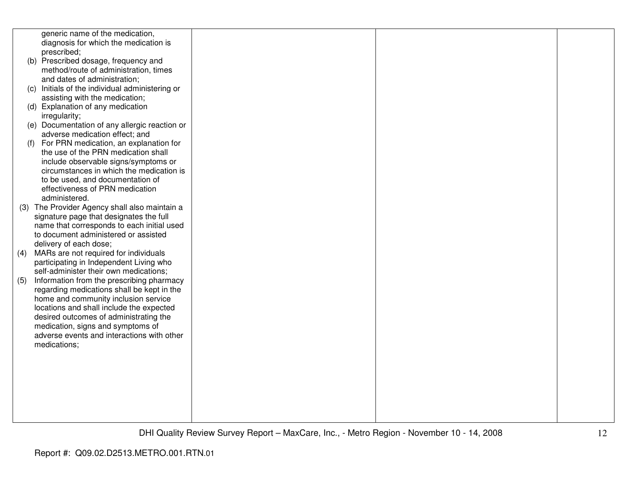|     | generic name of the medication,                                                    |  |  |
|-----|------------------------------------------------------------------------------------|--|--|
|     | diagnosis for which the medication is                                              |  |  |
|     | prescribed;                                                                        |  |  |
|     | (b) Prescribed dosage, frequency and                                               |  |  |
|     | method/route of administration, times                                              |  |  |
|     | and dates of administration;                                                       |  |  |
|     | (c) Initials of the individual administering or                                    |  |  |
|     | assisting with the medication;                                                     |  |  |
|     | (d) Explanation of any medication                                                  |  |  |
|     | irregularity;                                                                      |  |  |
|     | (e) Documentation of any allergic reaction or                                      |  |  |
|     | adverse medication effect; and                                                     |  |  |
| (f) | For PRN medication, an explanation for                                             |  |  |
|     | the use of the PRN medication shall                                                |  |  |
|     | include observable signs/symptoms or                                               |  |  |
|     | circumstances in which the medication is                                           |  |  |
|     | to be used, and documentation of                                                   |  |  |
|     | effectiveness of PRN medication                                                    |  |  |
|     | administered.                                                                      |  |  |
|     | (3) The Provider Agency shall also maintain a                                      |  |  |
|     |                                                                                    |  |  |
|     | signature page that designates the full                                            |  |  |
|     | name that corresponds to each initial used<br>to document administered or assisted |  |  |
|     |                                                                                    |  |  |
|     | delivery of each dose;                                                             |  |  |
| (4) | MARs are not required for individuals                                              |  |  |
|     | participating in Independent Living who                                            |  |  |
|     | self-administer their own medications;                                             |  |  |
| (5) | Information from the prescribing pharmacy                                          |  |  |
|     | regarding medications shall be kept in the                                         |  |  |
|     | home and community inclusion service                                               |  |  |
|     | locations and shall include the expected                                           |  |  |
|     | desired outcomes of administrating the                                             |  |  |
|     | medication, signs and symptoms of                                                  |  |  |
|     | adverse events and interactions with other                                         |  |  |
|     | medications;                                                                       |  |  |
|     |                                                                                    |  |  |
|     |                                                                                    |  |  |
|     |                                                                                    |  |  |
|     |                                                                                    |  |  |
|     |                                                                                    |  |  |
|     |                                                                                    |  |  |
|     |                                                                                    |  |  |
|     |                                                                                    |  |  |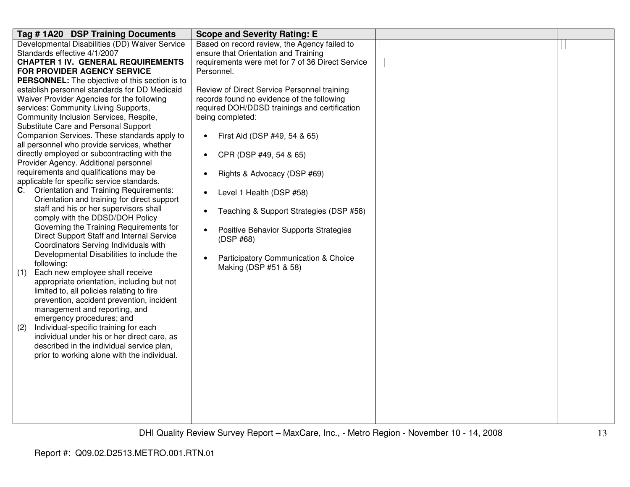| Tag #1A20 DSP Training Documents                                                            | <b>Scope and Severity Rating: E</b>               |  |
|---------------------------------------------------------------------------------------------|---------------------------------------------------|--|
| Developmental Disabilities (DD) Waiver Service                                              | Based on record review, the Agency failed to      |  |
| Standards effective 4/1/2007                                                                | ensure that Orientation and Training              |  |
| <b>CHAPTER 1 IV. GENERAL REQUIREMENTS</b>                                                   | requirements were met for 7 of 36 Direct Service  |  |
| <b>FOR PROVIDER AGENCY SERVICE</b>                                                          | Personnel.                                        |  |
| <b>PERSONNEL:</b> The objective of this section is to                                       |                                                   |  |
| establish personnel standards for DD Medicaid                                               | Review of Direct Service Personnel training       |  |
| Waiver Provider Agencies for the following                                                  | records found no evidence of the following        |  |
| services: Community Living Supports,                                                        | required DOH/DDSD trainings and certification     |  |
| Community Inclusion Services, Respite,                                                      | being completed:                                  |  |
| Substitute Care and Personal Support                                                        |                                                   |  |
| Companion Services. These standards apply to<br>all personnel who provide services, whether | First Aid (DSP #49, 54 & 65)<br>$\bullet$         |  |
| directly employed or subcontracting with the                                                | CPR (DSP #49, 54 & 65)                            |  |
| Provider Agency. Additional personnel                                                       |                                                   |  |
| requirements and qualifications may be                                                      | Rights & Advocacy (DSP #69)<br>$\bullet$          |  |
| applicable for specific service standards.                                                  |                                                   |  |
| Orientation and Training Requirements:<br>C.                                                | Level 1 Health (DSP #58)                          |  |
| Orientation and training for direct support                                                 |                                                   |  |
| staff and his or her supervisors shall                                                      | Teaching & Support Strategies (DSP #58)           |  |
| comply with the DDSD/DOH Policy                                                             |                                                   |  |
| Governing the Training Requirements for                                                     | Positive Behavior Supports Strategies             |  |
| Direct Support Staff and Internal Service                                                   | (DSP #68)                                         |  |
| Coordinators Serving Individuals with                                                       |                                                   |  |
| Developmental Disabilities to include the                                                   | Participatory Communication & Choice<br>$\bullet$ |  |
| following:                                                                                  | Making (DSP #51 & 58)                             |  |
| Each new employee shall receive<br>(1)                                                      |                                                   |  |
| appropriate orientation, including but not<br>limited to, all policies relating to fire     |                                                   |  |
| prevention, accident prevention, incident                                                   |                                                   |  |
| management and reporting, and                                                               |                                                   |  |
| emergency procedures; and                                                                   |                                                   |  |
| Individual-specific training for each<br>(2)                                                |                                                   |  |
| individual under his or her direct care, as                                                 |                                                   |  |
| described in the individual service plan,                                                   |                                                   |  |
| prior to working alone with the individual.                                                 |                                                   |  |
|                                                                                             |                                                   |  |
|                                                                                             |                                                   |  |
|                                                                                             |                                                   |  |
|                                                                                             |                                                   |  |
|                                                                                             |                                                   |  |
|                                                                                             |                                                   |  |
|                                                                                             |                                                   |  |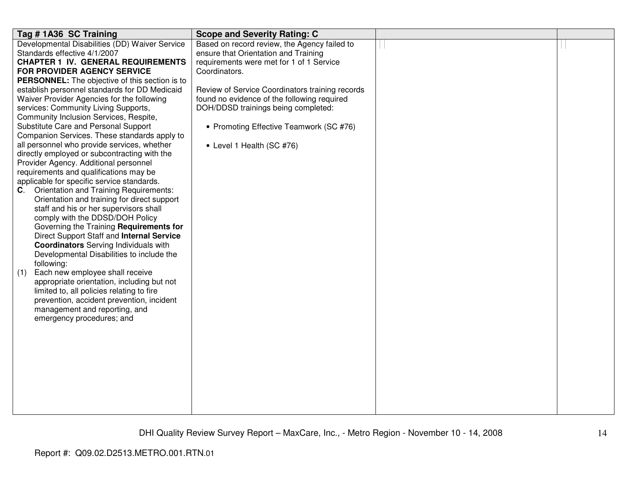| Tag #1A36 SC Training                                                                     | <b>Scope and Severity Rating: C</b>             |  |
|-------------------------------------------------------------------------------------------|-------------------------------------------------|--|
| Developmental Disabilities (DD) Waiver Service                                            | Based on record review, the Agency failed to    |  |
| Standards effective 4/1/2007                                                              | ensure that Orientation and Training            |  |
| <b>CHAPTER 1 IV. GENERAL REQUIREMENTS</b>                                                 | requirements were met for 1 of 1 Service        |  |
| <b>FOR PROVIDER AGENCY SERVICE</b>                                                        | Coordinators.                                   |  |
| <b>PERSONNEL:</b> The objective of this section is to                                     |                                                 |  |
| establish personnel standards for DD Medicaid                                             | Review of Service Coordinators training records |  |
| Waiver Provider Agencies for the following                                                | found no evidence of the following required     |  |
| services: Community Living Supports,                                                      | DOH/DDSD trainings being completed:             |  |
| Community Inclusion Services, Respite,                                                    |                                                 |  |
| Substitute Care and Personal Support                                                      | • Promoting Effective Teamwork (SC #76)         |  |
| Companion Services. These standards apply to                                              |                                                 |  |
| all personnel who provide services, whether                                               | • Level 1 Health (SC #76)                       |  |
| directly employed or subcontracting with the                                              |                                                 |  |
| Provider Agency. Additional personnel                                                     |                                                 |  |
| requirements and qualifications may be                                                    |                                                 |  |
| applicable for specific service standards.                                                |                                                 |  |
| Orientation and Training Requirements:<br>C.                                              |                                                 |  |
| Orientation and training for direct support                                               |                                                 |  |
| staff and his or her supervisors shall                                                    |                                                 |  |
| comply with the DDSD/DOH Policy                                                           |                                                 |  |
| Governing the Training Requirements for                                                   |                                                 |  |
| Direct Support Staff and Internal Service<br><b>Coordinators</b> Serving Individuals with |                                                 |  |
|                                                                                           |                                                 |  |
| Developmental Disabilities to include the<br>following:                                   |                                                 |  |
|                                                                                           |                                                 |  |
| Each new employee shall receive<br>(1)<br>appropriate orientation, including but not      |                                                 |  |
| limited to, all policies relating to fire                                                 |                                                 |  |
| prevention, accident prevention, incident                                                 |                                                 |  |
| management and reporting, and                                                             |                                                 |  |
| emergency procedures; and                                                                 |                                                 |  |
|                                                                                           |                                                 |  |
|                                                                                           |                                                 |  |
|                                                                                           |                                                 |  |
|                                                                                           |                                                 |  |
|                                                                                           |                                                 |  |
|                                                                                           |                                                 |  |
|                                                                                           |                                                 |  |
|                                                                                           |                                                 |  |
|                                                                                           |                                                 |  |
|                                                                                           |                                                 |  |
|                                                                                           |                                                 |  |